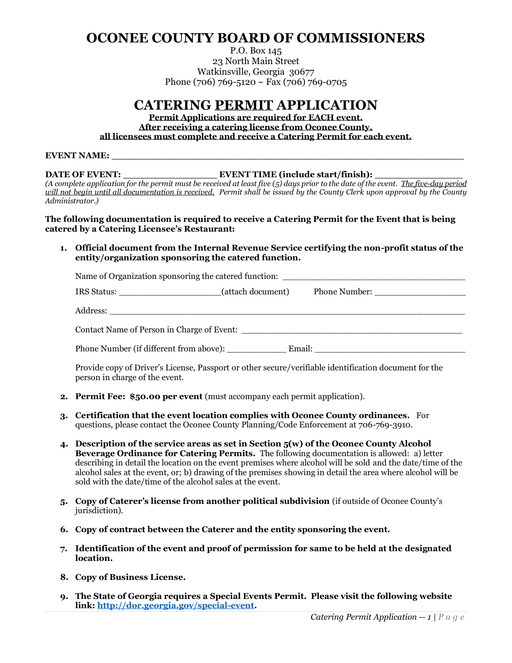## **OCONEE COUNTY BOARD OF COMMISSIONERS**

P.O. Box 145 23 North Main Street Watkinsville, Georgia 30677 Phone (706) 769-5120 ~ Fax (706) 769-0705

## **CATERING PERMIT APPLICATION**

**Permit Applications are required for EACH event. After receiving a catering license from Oconee County, all licensees must complete and receive a Catering Permit for each event.**

**EVENT NAME: \_\_\_\_\_\_\_\_\_\_\_\_\_\_\_\_\_\_\_\_\_\_\_\_\_\_\_\_\_\_\_\_\_\_\_\_\_\_\_\_\_\_\_\_\_\_\_\_\_\_\_\_\_\_\_\_\_\_\_\_**

**DATE OF EVENT:** EVENT TIME (include start/finish): *(A complete application for the permit must be received at least five (5) days prior to the date of the event. The five-day period* 

*will not begin until all documentation is received. Permit shall be issued by the County Clerk upon approval by the County Administrator.)*

**The following documentation is required to receive a Catering Permit for the Event that is being catered by a Catering Licensee's Restaurant:**

**1. Official document from the Internal Revenue Service certifying the non-profit status of the entity/organization sponsoring the catered function.**

|                                         |                                            | Name of Organization sponsoring the catered function: |
|-----------------------------------------|--------------------------------------------|-------------------------------------------------------|
|                                         | (attach document)                          |                                                       |
|                                         |                                            |                                                       |
|                                         | Contact Name of Person in Charge of Event: |                                                       |
| Phone Number (if different from above): | Email:                                     |                                                       |

Provide copy of Driver's License, Passport or other secure/verifiable identification document for the person in charge of the event.

- **2. Permit Fee: \$50.00 per event** (must accompany each permit application).
- **3. Certification that the event location complies with Oconee County ordinances.** For questions, please contact the Oconee County Planning/Code Enforcement at 706-769-3910.
- **4. Description of the service areas as set in Section 5(w) of the Oconee County Alcohol Beverage Ordinance for Catering Permits.** The following documentation is allowed: a) letter describing in detail the location on the event premises where alcohol will be sold and the date/time of the alcohol sales at the event, or; b) drawing of the premises showing in detail the area where alcohol will be sold with the date/time of the alcohol sales at the event.
- **5. Copy of Caterer's license from another political subdivision** (if outside of Oconee County's jurisdiction).
- **6. Copy of contract between the Caterer and the entity sponsoring the event.**
- **7. Identification of the event and proof of permission for same to be held at the designated location.**
- **8. Copy of Business License.**
- **9. The State of Georgia requires a Special Events Permit. Please visit the following website link: [http://dor.georgia.gov/special-event.](http://dor.georgia.gov/special-event)**